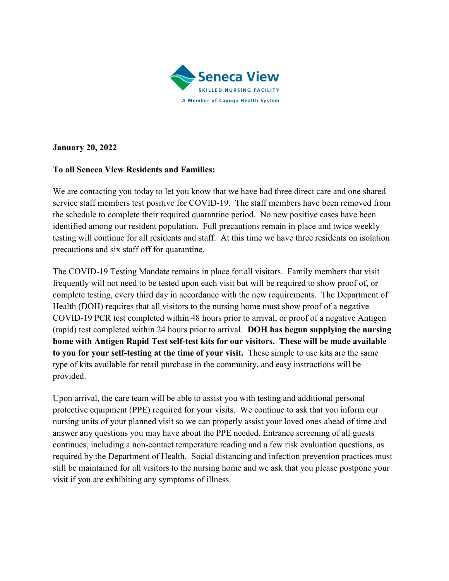

January 20, 2022

## To all Seneca View Residents and Families:

We are contacting you today to let you know that we have had three direct care and one shared service staff members test positive for COVID-19. The staff members have been removed from the schedule to complete their required quarantine period. No new positive cases have been identified among our resident population. Full precautions remain in place and twice weekly testing will continue for all residents and staff. At this time we have three residents on isolation precautions and six staff off for quarantine.

The COVID-19 Testing Mandate remains in place for all visitors. Family members that visit frequently will not need to be tested upon each visit but will be required to show proof of, or complete testing, every third day in accordance with the new requirements. The Department of Health (DOH) requires that all visitors to the nursing home must show proof of a negative COVID-19 PCR test completed within 48 hours prior to arrival, or proof of a negative Antigen (rapid) test completed within 24 hours prior to arrival. DOH has begun supplying the nursing home with Antigen Rapid Test self-test kits for our visitors. These will be made available to you for your self-testing at the time of your visit. These simple to use kits are the same type of kits available for retail purchase in the community, and easy instructions will be provided.

Upon arrival, the care team will be able to assist you with testing and additional personal protective equipment (PPE) required for your visits. We continue to ask that you inform our nursing units of your planned visit so we can properly assist your loved ones ahead of time and answer any questions you may have about the PPE needed. Entrance screening of all guests continues, including a non-contact temperature reading and a few risk evaluation questions, as required by the Department of Health. Social distancing and infection prevention practices must still be maintained for all visitors to the nursing home and we ask that you please postpone your visit if you are exhibiting any symptoms of illness.